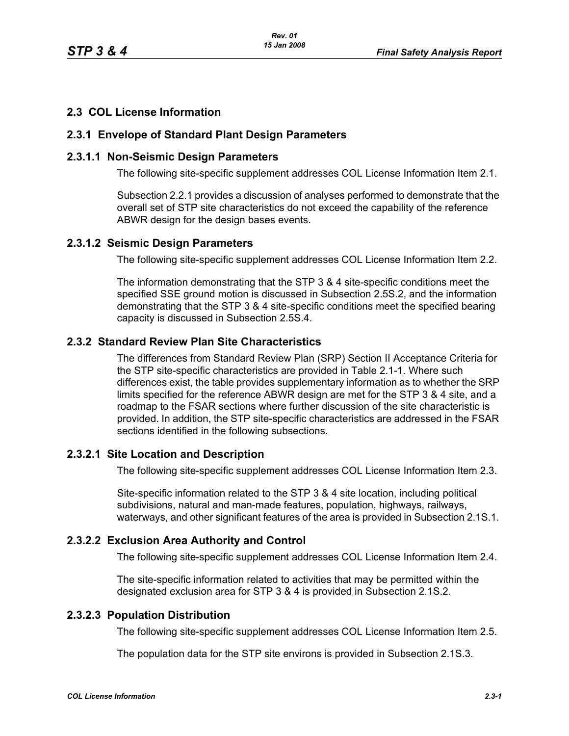## **2.3 COL License Information**

#### **2.3.1 Envelope of Standard Plant Design Parameters**

#### **2.3.1.1 Non-Seismic Design Parameters**

The following site-specific supplement addresses COL License Information Item 2.1.

Subsection 2.2.1 provides a discussion of analyses performed to demonstrate that the overall set of STP site characteristics do not exceed the capability of the reference ABWR design for the design bases events.

#### **2.3.1.2 Seismic Design Parameters**

The following site-specific supplement addresses COL License Information Item 2.2.

The information demonstrating that the STP 3 & 4 site-specific conditions meet the specified SSE ground motion is discussed in Subsection 2.5S.2, and the information demonstrating that the STP 3 & 4 site-specific conditions meet the specified bearing capacity is discussed in Subsection 2.5S.4.

## **2.3.2 Standard Review Plan Site Characteristics**

The differences from Standard Review Plan (SRP) Section II Acceptance Criteria for the STP site-specific characteristics are provided in Table 2.1-1. Where such differences exist, the table provides supplementary information as to whether the SRP limits specified for the reference ABWR design are met for the STP 3 & 4 site, and a roadmap to the FSAR sections where further discussion of the site characteristic is provided. In addition, the STP site-specific characteristics are addressed in the FSAR sections identified in the following subsections.

## **2.3.2.1 Site Location and Description**

The following site-specific supplement addresses COL License Information Item 2.3.

Site-specific information related to the STP 3 & 4 site location, including political subdivisions, natural and man-made features, population, highways, railways, waterways, and other significant features of the area is provided in Subsection 2.1S.1.

## **2.3.2.2 Exclusion Area Authority and Control**

The following site-specific supplement addresses COL License Information Item 2.4.

The site-specific information related to activities that may be permitted within the designated exclusion area for STP 3 & 4 is provided in Subsection 2.1S.2.

# **2.3.2.3 Population Distribution**

The following site-specific supplement addresses COL License Information Item 2.5.

The population data for the STP site environs is provided in Subsection 2.1S.3.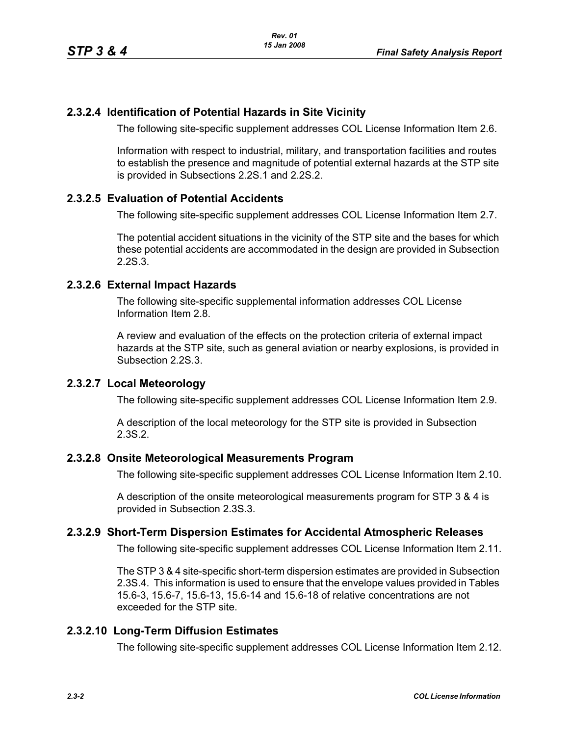## **2.3.2.4 Identification of Potential Hazards in Site Vicinity**

The following site-specific supplement addresses COL License Information Item 2.6.

Information with respect to industrial, military, and transportation facilities and routes to establish the presence and magnitude of potential external hazards at the STP site is provided in Subsections 2.2S.1 and 2.2S.2.

#### **2.3.2.5 Evaluation of Potential Accidents**

The following site-specific supplement addresses COL License Information Item 2.7.

The potential accident situations in the vicinity of the STP site and the bases for which these potential accidents are accommodated in the design are provided in Subsection 2.2S.3.

#### **2.3.2.6 External Impact Hazards**

The following site-specific supplemental information addresses COL License Information Item 2.8.

A review and evaluation of the effects on the protection criteria of external impact hazards at the STP site, such as general aviation or nearby explosions, is provided in Subsection 2.2S.3.

#### **2.3.2.7 Local Meteorology**

The following site-specific supplement addresses COL License Information Item 2.9.

A description of the local meteorology for the STP site is provided in Subsection 2.3S.2.

#### **2.3.2.8 Onsite Meteorological Measurements Program**

The following site-specific supplement addresses COL License Information Item 2.10.

A description of the onsite meteorological measurements program for STP 3 & 4 is provided in Subsection 2.3S.3.

## **2.3.2.9 Short-Term Dispersion Estimates for Accidental Atmospheric Releases**

The following site-specific supplement addresses COL License Information Item 2.11.

The STP 3 & 4 site-specific short-term dispersion estimates are provided in Subsection 2.3S.4. This information is used to ensure that the envelope values provided in Tables 15.6-3, 15.6-7, 15.6-13, 15.6-14 and 15.6-18 of relative concentrations are not exceeded for the STP site.

## **2.3.2.10 Long-Term Diffusion Estimates**

The following site-specific supplement addresses COL License Information Item 2.12.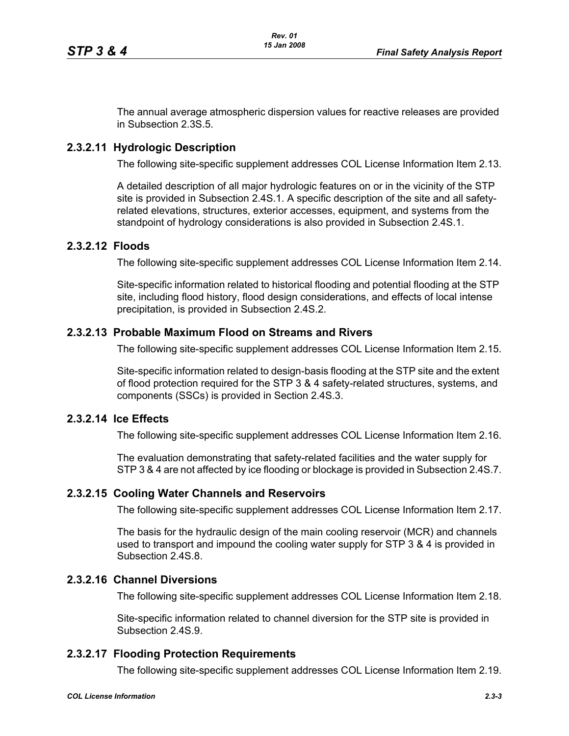The annual average atmospheric dispersion values for reactive releases are provided in Subsection 2.3S.5.

## **2.3.2.11 Hydrologic Description**

The following site-specific supplement addresses COL License Information Item 2.13.

A detailed description of all major hydrologic features on or in the vicinity of the STP site is provided in Subsection 2.4S.1. A specific description of the site and all safetyrelated elevations, structures, exterior accesses, equipment, and systems from the standpoint of hydrology considerations is also provided in Subsection 2.4S.1.

#### **2.3.2.12 Floods**

The following site-specific supplement addresses COL License Information Item 2.14.

Site-specific information related to historical flooding and potential flooding at the STP site, including flood history, flood design considerations, and effects of local intense precipitation, is provided in Subsection 2.4S.2.

#### **2.3.2.13 Probable Maximum Flood on Streams and Rivers**

The following site-specific supplement addresses COL License Information Item 2.15.

Site-specific information related to design-basis flooding at the STP site and the extent of flood protection required for the STP 3 & 4 safety-related structures, systems, and components (SSCs) is provided in Section 2.4S.3.

#### **2.3.2.14 Ice Effects**

The following site-specific supplement addresses COL License Information Item 2.16.

The evaluation demonstrating that safety-related facilities and the water supply for STP 3 & 4 are not affected by ice flooding or blockage is provided in Subsection 2.4S.7.

#### **2.3.2.15 Cooling Water Channels and Reservoirs**

The following site-specific supplement addresses COL License Information Item 2.17.

The basis for the hydraulic design of the main cooling reservoir (MCR) and channels used to transport and impound the cooling water supply for STP 3 & 4 is provided in Subsection 2.4S.8.

## **2.3.2.16 Channel Diversions**

The following site-specific supplement addresses COL License Information Item 2.18.

Site-specific information related to channel diversion for the STP site is provided in Subsection 2.4S.9.

#### **2.3.2.17 Flooding Protection Requirements**

The following site-specific supplement addresses COL License Information Item 2.19.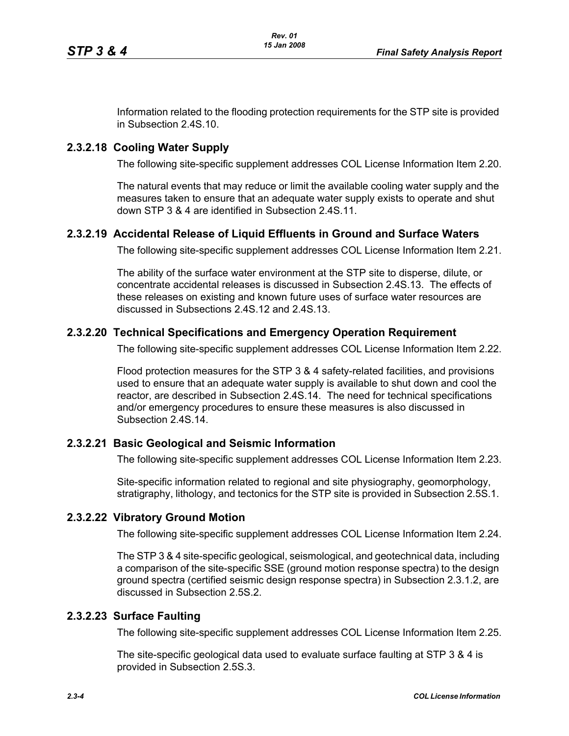Information related to the flooding protection requirements for the STP site is provided in Subsection 2.4S.10.

## **2.3.2.18 Cooling Water Supply**

The following site-specific supplement addresses COL License Information Item 2.20.

The natural events that may reduce or limit the available cooling water supply and the measures taken to ensure that an adequate water supply exists to operate and shut down STP 3 & 4 are identified in Subsection 2.4S.11.

## **2.3.2.19 Accidental Release of Liquid Effluents in Ground and Surface Waters**

The following site-specific supplement addresses COL License Information Item 2.21.

The ability of the surface water environment at the STP site to disperse, dilute, or concentrate accidental releases is discussed in Subsection 2.4S.13. The effects of these releases on existing and known future uses of surface water resources are discussed in Subsections 2.4S.12 and 2.4S.13.

## **2.3.2.20 Technical Specifications and Emergency Operation Requirement**

The following site-specific supplement addresses COL License Information Item 2.22.

Flood protection measures for the STP 3 & 4 safety-related facilities, and provisions used to ensure that an adequate water supply is available to shut down and cool the reactor, are described in Subsection 2.4S.14. The need for technical specifications and/or emergency procedures to ensure these measures is also discussed in Subsection 2.4S.14.

## **2.3.2.21 Basic Geological and Seismic Information**

The following site-specific supplement addresses COL License Information Item 2.23.

Site-specific information related to regional and site physiography, geomorphology, stratigraphy, lithology, and tectonics for the STP site is provided in Subsection 2.5S.1.

## **2.3.2.22 Vibratory Ground Motion**

The following site-specific supplement addresses COL License Information Item 2.24.

The STP 3 & 4 site-specific geological, seismological, and geotechnical data, including a comparison of the site-specific SSE (ground motion response spectra) to the design ground spectra (certified seismic design response spectra) in Subsection 2.3.1.2, are discussed in Subsection 2.5S.2.

## **2.3.2.23 Surface Faulting**

The following site-specific supplement addresses COL License Information Item 2.25.

The site-specific geological data used to evaluate surface faulting at STP 3 & 4 is provided in Subsection 2.5S.3.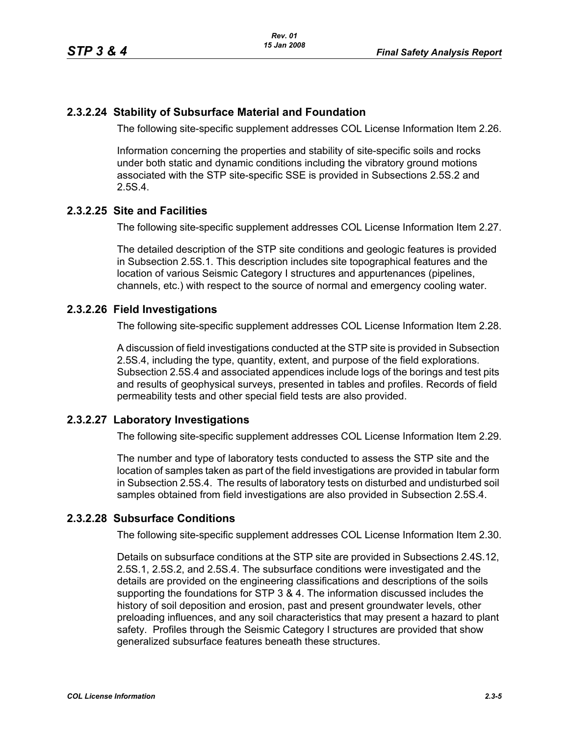#### **2.3.2.24 Stability of Subsurface Material and Foundation**

The following site-specific supplement addresses COL License Information Item 2.26.

Information concerning the properties and stability of site-specific soils and rocks under both static and dynamic conditions including the vibratory ground motions associated with the STP site-specific SSE is provided in Subsections 2.5S.2 and 2.5S.4.

#### **2.3.2.25 Site and Facilities**

The following site-specific supplement addresses COL License Information Item 2.27.

The detailed description of the STP site conditions and geologic features is provided in Subsection 2.5S.1. This description includes site topographical features and the location of various Seismic Category I structures and appurtenances (pipelines, channels, etc.) with respect to the source of normal and emergency cooling water.

#### **2.3.2.26 Field Investigations**

The following site-specific supplement addresses COL License Information Item 2.28.

A discussion of field investigations conducted at the STP site is provided in Subsection 2.5S.4, including the type, quantity, extent, and purpose of the field explorations. Subsection 2.5S.4 and associated appendices include logs of the borings and test pits and results of geophysical surveys, presented in tables and profiles. Records of field permeability tests and other special field tests are also provided.

## **2.3.2.27 Laboratory Investigations**

The following site-specific supplement addresses COL License Information Item 2.29.

The number and type of laboratory tests conducted to assess the STP site and the location of samples taken as part of the field investigations are provided in tabular form in Subsection 2.5S.4. The results of laboratory tests on disturbed and undisturbed soil samples obtained from field investigations are also provided in Subsection 2.5S.4.

## **2.3.2.28 Subsurface Conditions**

The following site-specific supplement addresses COL License Information Item 2.30.

Details on subsurface conditions at the STP site are provided in Subsections 2.4S.12, 2.5S.1, 2.5S.2, and 2.5S.4. The subsurface conditions were investigated and the details are provided on the engineering classifications and descriptions of the soils supporting the foundations for STP 3 & 4. The information discussed includes the history of soil deposition and erosion, past and present groundwater levels, other preloading influences, and any soil characteristics that may present a hazard to plant safety. Profiles through the Seismic Category I structures are provided that show generalized subsurface features beneath these structures.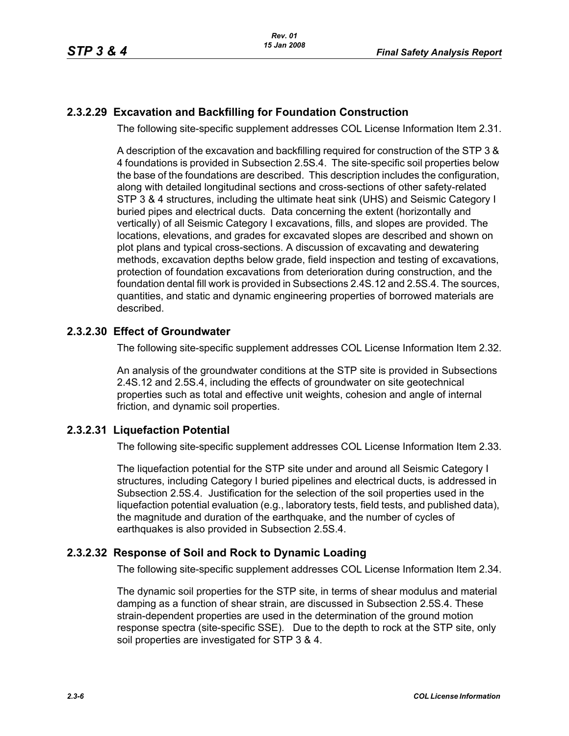## **2.3.2.29 Excavation and Backfilling for Foundation Construction**

The following site-specific supplement addresses COL License Information Item 2.31.

A description of the excavation and backfilling required for construction of the STP 3 & 4 foundations is provided in Subsection 2.5S.4. The site-specific soil properties below the base of the foundations are described. This description includes the configuration, along with detailed longitudinal sections and cross-sections of other safety-related STP 3 & 4 structures, including the ultimate heat sink (UHS) and Seismic Category I buried pipes and electrical ducts. Data concerning the extent (horizontally and vertically) of all Seismic Category I excavations, fills, and slopes are provided. The locations, elevations, and grades for excavated slopes are described and shown on plot plans and typical cross-sections. A discussion of excavating and dewatering methods, excavation depths below grade, field inspection and testing of excavations, protection of foundation excavations from deterioration during construction, and the foundation dental fill work is provided in Subsections 2.4S.12 and 2.5S.4. The sources, quantities, and static and dynamic engineering properties of borrowed materials are described.

## **2.3.2.30 Effect of Groundwater**

The following site-specific supplement addresses COL License Information Item 2.32.

An analysis of the groundwater conditions at the STP site is provided in Subsections 2.4S.12 and 2.5S.4, including the effects of groundwater on site geotechnical properties such as total and effective unit weights, cohesion and angle of internal friction, and dynamic soil properties.

## **2.3.2.31 Liquefaction Potential**

The following site-specific supplement addresses COL License Information Item 2.33.

The liquefaction potential for the STP site under and around all Seismic Category I structures, including Category I buried pipelines and electrical ducts, is addressed in Subsection 2.5S.4. Justification for the selection of the soil properties used in the liquefaction potential evaluation (e.g., laboratory tests, field tests, and published data), the magnitude and duration of the earthquake, and the number of cycles of earthquakes is also provided in Subsection 2.5S.4.

## **2.3.2.32 Response of Soil and Rock to Dynamic Loading**

The following site-specific supplement addresses COL License Information Item 2.34.

The dynamic soil properties for the STP site, in terms of shear modulus and material damping as a function of shear strain, are discussed in Subsection 2.5S.4. These strain-dependent properties are used in the determination of the ground motion response spectra (site-specific SSE). Due to the depth to rock at the STP site, only soil properties are investigated for STP 3 & 4.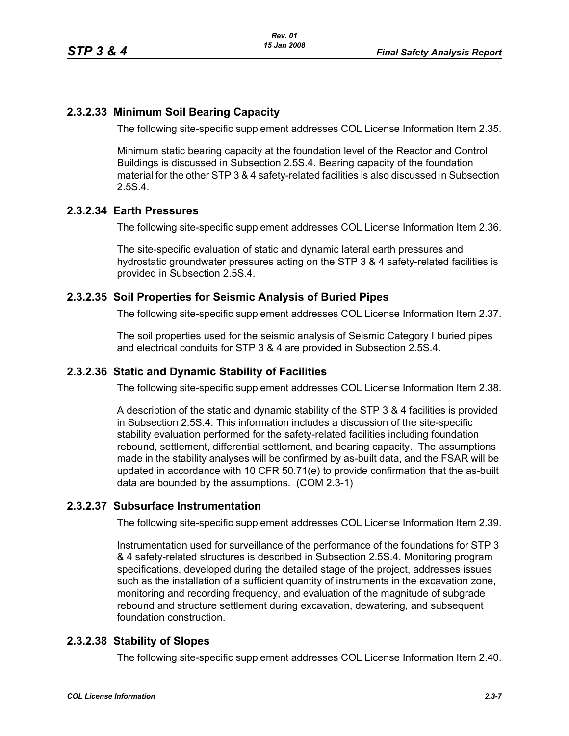## **2.3.2.33 Minimum Soil Bearing Capacity**

The following site-specific supplement addresses COL License Information Item 2.35.

Minimum static bearing capacity at the foundation level of the Reactor and Control Buildings is discussed in Subsection 2.5S.4. Bearing capacity of the foundation material for the other STP 3 & 4 safety-related facilities is also discussed in Subsection 2.5S.4.

#### **2.3.2.34 Earth Pressures**

The following site-specific supplement addresses COL License Information Item 2.36.

The site-specific evaluation of static and dynamic lateral earth pressures and hydrostatic groundwater pressures acting on the STP 3 & 4 safety-related facilities is provided in Subsection 2.5S.4.

#### **2.3.2.35 Soil Properties for Seismic Analysis of Buried Pipes**

The following site-specific supplement addresses COL License Information Item 2.37.

The soil properties used for the seismic analysis of Seismic Category I buried pipes and electrical conduits for STP 3 & 4 are provided in Subsection 2.5S.4.

#### **2.3.2.36 Static and Dynamic Stability of Facilities**

The following site-specific supplement addresses COL License Information Item 2.38.

A description of the static and dynamic stability of the STP 3 & 4 facilities is provided in Subsection 2.5S.4. This information includes a discussion of the site-specific stability evaluation performed for the safety-related facilities including foundation rebound, settlement, differential settlement, and bearing capacity. The assumptions made in the stability analyses will be confirmed by as-built data, and the FSAR will be updated in accordance with 10 CFR 50.71(e) to provide confirmation that the as-built data are bounded by the assumptions. (COM 2.3-1)

#### **2.3.2.37 Subsurface Instrumentation**

The following site-specific supplement addresses COL License Information Item 2.39.

Instrumentation used for surveillance of the performance of the foundations for STP 3 & 4 safety-related structures is described in Subsection 2.5S.4. Monitoring program specifications, developed during the detailed stage of the project, addresses issues such as the installation of a sufficient quantity of instruments in the excavation zone, monitoring and recording frequency, and evaluation of the magnitude of subgrade rebound and structure settlement during excavation, dewatering, and subsequent foundation construction.

#### **2.3.2.38 Stability of Slopes**

The following site-specific supplement addresses COL License Information Item 2.40.